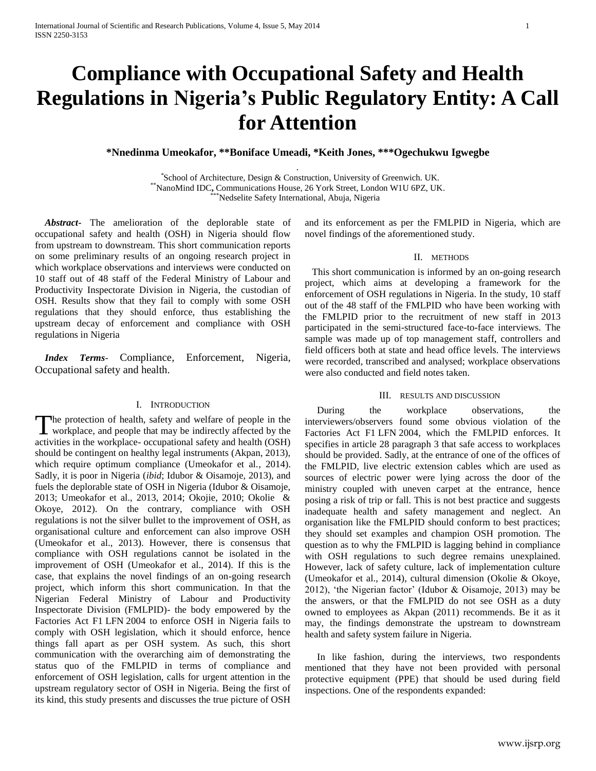# **Compliance with Occupational Safety and Health Regulations in Nigeria's Public Regulatory Entity: A Call for Attention**

**\*Nnedinma Umeokafor, \*\*Boniface Umeadi, \*Keith Jones, \*\*\*Ogechukwu Igwegbe** *.*

 *\** School of Architecture, Design & Construction, University of Greenwich. UK. \*\*NanoMind IDC**,** Communications House, 26 York Street, London W1U 6PZ, UK. \*\*\*Nedselite Safety International, Abuja, Nigeria

 *Abstract***-** The amelioration of the deplorable state of occupational safety and health (OSH) in Nigeria should flow from upstream to downstream. This short communication reports on some preliminary results of an ongoing research project in which workplace observations and interviews were conducted on 10 staff out of 48 staff of the Federal Ministry of Labour and Productivity Inspectorate Division in Nigeria, the custodian of OSH. Results show that they fail to comply with some OSH regulations that they should enforce, thus establishing the upstream decay of enforcement and compliance with OSH regulations in Nigeria

 *Index Terms*- Compliance, Enforcement, Nigeria, Occupational safety and health.

# I. INTRODUCTION

The protection of health, safety and welfare of people in the workplace, and people that may be indirectly affected by the **L** workplace, and people that may be indirectly affected by the activities in the workplace- occupational safety and health (OSH) should be contingent on healthy legal instruments (Akpan, 2013), which require optimum compliance (Umeokafor et al., 2014). Sadly, it is poor in Nigeria (*ibid*; Idubor & Oisamoje, 2013), and fuels the deplorable state of OSH in Nigeria (Idubor & Oisamoje, 2013; Umeokafor et al., 2013, 2014; Okojie, 2010; Okolie & Okoye, 2012). On the contrary, compliance with OSH regulations is not the silver bullet to the improvement of OSH, as organisational culture and enforcement can also improve OSH (Umeokafor et al., 2013). However, there is consensus that compliance with OSH regulations cannot be isolated in the improvement of OSH (Umeokafor et al., 2014). If this is the case, that explains the novel findings of an on-going research project, which inform this short communication. In that the Nigerian Federal Ministry of Labour and Productivity Inspectorate Division (FMLPID)- the body empowered by the Factories Act F1 LFN 2004 to enforce OSH in Nigeria fails to comply with OSH legislation, which it should enforce, hence things fall apart as per OSH system. As such, this short communication with the overarching aim of demonstrating the status quo of the FMLPID in terms of compliance and enforcement of OSH legislation, calls for urgent attention in the upstream regulatory sector of OSH in Nigeria. Being the first of its kind, this study presents and discusses the true picture of OSH and its enforcement as per the FMLPID in Nigeria, which are novel findings of the aforementioned study.

#### II. METHODS

 This short communication is informed by an on-going research project, which aims at developing a framework for the enforcement of OSH regulations in Nigeria. In the study, 10 staff out of the 48 staff of the FMLPID who have been working with the FMLPID prior to the recruitment of new staff in 2013 participated in the semi-structured face-to-face interviews. The sample was made up of top management staff, controllers and field officers both at state and head office levels. The interviews were recorded, transcribed and analysed; workplace observations were also conducted and field notes taken.

### III. RESULTS AND DISCUSSION

During the workplace observations, the interviewers/observers found some obvious violation of the Factories Act F1 LFN 2004, which the FMLPID enforces. It specifies in article 28 paragraph 3 that safe access to workplaces should be provided. Sadly, at the entrance of one of the offices of the FMLPID, live electric extension cables which are used as sources of electric power were lying across the door of the ministry coupled with uneven carpet at the entrance, hence posing a risk of trip or fall. This is not best practice and suggests inadequate health and safety management and neglect. An organisation like the FMLPID should conform to best practices; they should set examples and champion OSH promotion. The question as to why the FMLPID is lagging behind in compliance with OSH regulations to such degree remains unexplained. However, lack of safety culture, lack of implementation culture (Umeokafor et al., 2014), cultural dimension (Okolie & Okoye, 2012), 'the Nigerian factor' (Idubor & Oisamoje, 2013) may be the answers, or that the FMLPID do not see OSH as a duty owned to employees as Akpan (2011) recommends. Be it as it may, the findings demonstrate the upstream to downstream health and safety system failure in Nigeria.

 In like fashion, during the interviews, two respondents mentioned that they have not been provided with personal protective equipment (PPE) that should be used during field inspections. One of the respondents expanded: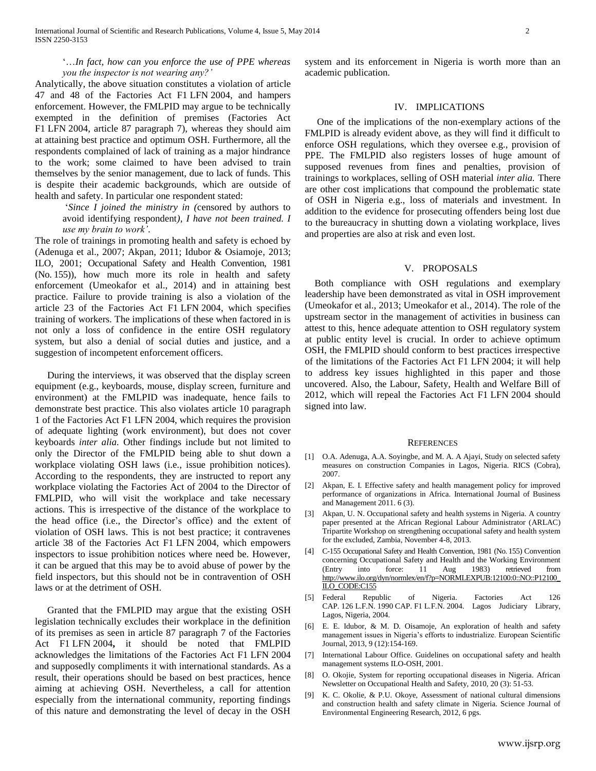## '…*In fact, how can you enforce the use of PPE whereas you the inspector is not wearing any?'*

Analytically, the above situation constitutes a violation of article 47 and 48 of the Factories Act F1 LFN 2004, and hampers enforcement. However, the FMLPID may argue to be technically exempted in the definition of premises (Factories Act F1 LFN 2004, article 87 paragraph 7), whereas they should aim at attaining best practice and optimum OSH. Furthermore, all the respondents complained of lack of training as a major hindrance to the work; some claimed to have been advised to train themselves by the senior management, due to lack of funds. This is despite their academic backgrounds, which are outside of health and safety. In particular one respondent stated:

> '*Since I joined the ministry in (*censored by authors to avoid identifying respondent*), I have not been trained. I use my brain to work'*.

The role of trainings in promoting health and safety is echoed by (Adenuga et al., 2007; Akpan, 2011; Idubor & Osiamoje, 2013; ILO, 2001; Occupational Safety and Health Convention, 1981 (No. 155)), how much more its role in health and safety enforcement (Umeokafor et al., 2014) and in attaining best practice. Failure to provide training is also a violation of the article 23 of the Factories Act F1 LFN 2004, which specifies training of workers. The implications of these when factored in is not only a loss of confidence in the entire OSH regulatory system, but also a denial of social duties and justice, and a suggestion of incompetent enforcement officers.

 During the interviews, it was observed that the display screen equipment (e.g., keyboards, mouse, display screen, furniture and environment) at the FMLPID was inadequate, hence fails to demonstrate best practice. This also violates article 10 paragraph 1 of the Factories Act F1 LFN 2004, which requires the provision of adequate lighting (work environment), but does not cover keyboards *inter alia.* Other findings include but not limited to only the Director of the FMLPID being able to shut down a workplace violating OSH laws (i.e., issue prohibition notices). According to the respondents, they are instructed to report any workplace violating the Factories Act of 2004 to the Director of FMLPID, who will visit the workplace and take necessary actions. This is irrespective of the distance of the workplace to the head office (i.e., the Director's office) and the extent of violation of OSH laws. This is not best practice; it contravenes article 38 of the Factories Act F1 LFN 2004, which empowers inspectors to issue prohibition notices where need be. However, it can be argued that this may be to avoid abuse of power by the field inspectors, but this should not be in contravention of OSH laws or at the detriment of OSH.

 Granted that the FMLPID may argue that the existing OSH legislation technically excludes their workplace in the definition of its premises as seen in article 87 paragraph 7 of the Factories Act F1 LFN 2004**,** it should be noted that FMLPID acknowledges the limitations of the Factories Act F1 LFN 2004 and supposedly compliments it with international standards. As a result, their operations should be based on best practices, hence aiming at achieving OSH. Nevertheless, a call for attention especially from the international community, reporting findings of this nature and demonstrating the level of decay in the OSH

system and its enforcement in Nigeria is worth more than an academic publication.

### IV. IMPLICATIONS

 One of the implications of the non-exemplary actions of the FMLPID is already evident above, as they will find it difficult to enforce OSH regulations, which they oversee e.g., provision of PPE. The FMLPID also registers losses of huge amount of supposed revenues from fines and penalties, provision of trainings to workplaces, selling of OSH material *inter alia.* There are other cost implications that compound the problematic state of OSH in Nigeria e.g., loss of materials and investment. In addition to the evidence for prosecuting offenders being lost due to the bureaucracy in shutting down a violating workplace, lives and properties are also at risk and even lost.

### V. PROPOSALS

 Both compliance with OSH regulations and exemplary leadership have been demonstrated as vital in OSH improvement (Umeokafor et al., 2013; Umeokafor et al., 2014). The role of the upstream sector in the management of activities in business can attest to this, hence adequate attention to OSH regulatory system at public entity level is crucial. In order to achieve optimum OSH, the FMLPID should conform to best practices irrespective of the limitations of the Factories Act F1 LFN 2004; it will help to address key issues highlighted in this paper and those uncovered. Also, the Labour, Safety, Health and Welfare Bill of 2012, which will repeal the Factories Act F1 LFN 2004 should signed into law.

#### **REFERENCES**

- [1] O.A. Adenuga, A.A. Soyingbe, and M. A. A Ajayi, Study on selected safety measures on construction Companies in Lagos, Nigeria. RICS (Cobra), 2007.
- [2] Akpan, E. I. Effective safety and health management policy for improved performance of organizations in Africa*.* International Journal of Business and Management 2011. 6 (3).
- [3] Akpan, U. N. Occupational safety and health systems in Nigeria. A country paper presented at the African Regional Labour Administrator (ARLAC) Tripartite Workshop on strengthening occupational safety and health system for the excluded, Zambia, November 4-8, 2013.
- [4] C-155 Occupational Safety and Health Convention, 1981 (No. 155) Convention concerning Occupational Safety and Health and the Working Environment (Entry into force: 11 Aug 1983) retrieved from [http://www.ilo.org/dyn/normlex/en/f?p=NORMLEXPUB:12100:0::NO::P12100\\_](http://www.ilo.org/dyn/normlex/en/f?p=NORMLEXPUB:12100:0::NO::P12100_ILO_CODE:C155) [ILO\\_CODE:C155](http://www.ilo.org/dyn/normlex/en/f?p=NORMLEXPUB:12100:0::NO::P12100_ILO_CODE:C155)
- [5] Federal Republic of Nigeria. Factories Act 126 CAP. 126 L.F.N. 1990 CAP. F1 L.F.N. 2004. Lagos Judiciary Library, Lagos, Nigeria, 2004.
- [6] E. E. Idubor, & M. D. Oisamoje, An exploration of health and safety management issues in Nigeria's efforts to industrialize. European Scientific Journal, 2013, 9 (12):154-169.
- [7] International Labour Office. Guidelines on occupational safety and health management systems ILO-OSH, 2001.
- [8] O. Okojie, System for reporting occupational diseases in Nigeria. African Newsletter on Occupational Health and Safety, 2010, 20 (3): 51-53.
- [9] K. C. Okolie, & P.U. Okoye, Assessment of national cultural dimensions and construction health and safety climate in Nigeria. Science Journal of Environmental Engineering Research, 2012, 6 pgs.